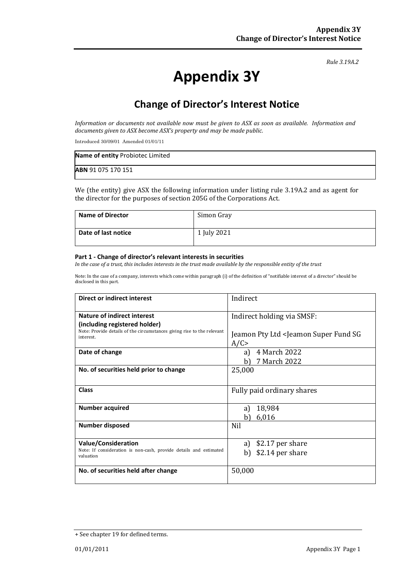*Rule 3.19A.2*

# **Appendix 3Y**

# **Change of Director's Interest Notice**

*Information or documents not available now must be given to ASX as soon as available. Information and documents given to ASX become ASX's property and may be made public.*

Introduced 30/09/01 Amended 01/01/11

| Name of entity Probiotec Limited |  |
|----------------------------------|--|
| ABN 91 075 170 151               |  |

We (the entity) give ASX the following information under listing rule 3.19A.2 and as agent for the director for the purposes of section 205G of the Corporations Act.

| <b>Name of Director</b> | Simon Gray       |
|-------------------------|------------------|
| Date of last notice     | <b>July 2021</b> |

#### **Part 1 - Change of director's relevant interests in securities**

*In the case of a trust, this includes interests in the trust made available by the responsible entity of the trust*

Note: In the case of a company, interests which come within paragraph (i) of the definition of "notifiable interest of a director" should be disclosed in this part.

| Direct or indirect interest                                                                                  | Indirect                                                      |
|--------------------------------------------------------------------------------------------------------------|---------------------------------------------------------------|
| <b>Nature of indirect interest</b><br>(including registered holder)                                          | Indirect holding via SMSF:                                    |
| Note: Provide details of the circumstances giving rise to the relevant<br>interest.                          | Jeamon Pty Ltd <jeamon fund="" sg<br="" super="">A/C</jeamon> |
| Date of change                                                                                               | 4 March 2022<br>a)<br>7 March 2022<br>b                       |
| No. of securities held prior to change                                                                       | 25,000                                                        |
| <b>Class</b>                                                                                                 | Fully paid ordinary shares                                    |
| <b>Number acquired</b>                                                                                       | 18,984<br>a l<br>6,016<br>b)                                  |
| <b>Number disposed</b>                                                                                       | Nil                                                           |
| <b>Value/Consideration</b><br>Note: If consideration is non-cash, provide details and estimated<br>valuation | \$2.17 per share<br>a)<br>\$2.14 per share<br>b)              |
| No. of securities held after change                                                                          | 50,000                                                        |

<sup>+</sup> See chapter 19 for defined terms.